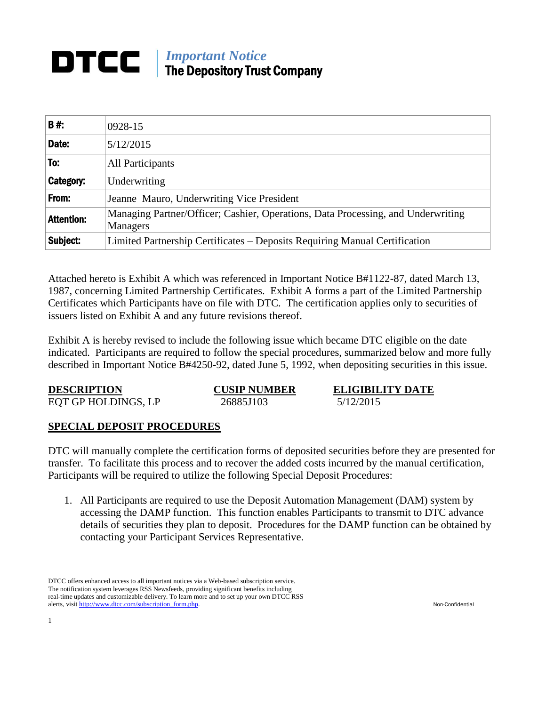# *Important Notice* DTCC The Depository Trust Company

| <b>B#:</b>        | 0928-15                                                                                      |  |
|-------------------|----------------------------------------------------------------------------------------------|--|
| Date:             | 5/12/2015                                                                                    |  |
| To:               | All Participants                                                                             |  |
| <b>Category:</b>  | Underwriting                                                                                 |  |
| From:             | Jeanne Mauro, Underwriting Vice President                                                    |  |
| <b>Attention:</b> | Managing Partner/Officer; Cashier, Operations, Data Processing, and Underwriting<br>Managers |  |
| Subject:          | Limited Partnership Certificates – Deposits Requiring Manual Certification                   |  |

Attached hereto is Exhibit A which was referenced in Important Notice B#1122-87, dated March 13, 1987, concerning Limited Partnership Certificates. Exhibit A forms a part of the Limited Partnership Certificates which Participants have on file with DTC. The certification applies only to securities of issuers listed on Exhibit A and any future revisions thereof.

Exhibit A is hereby revised to include the following issue which became DTC eligible on the date indicated. Participants are required to follow the special procedures, summarized below and more fully described in Important Notice B#4250-92, dated June 5, 1992, when depositing securities in this issue.

| <b>DESCRIPTION</b>  | <b>CUSIP NUMBER</b> | <b>ELIGIBILITY DATE</b> |
|---------------------|---------------------|-------------------------|
| EQT GP HOLDINGS, LP | 26885J103           | 5/12/2015               |

# **SPECIAL DEPOSIT PROCEDURES**

DTC will manually complete the certification forms of deposited securities before they are presented for transfer. To facilitate this process and to recover the added costs incurred by the manual certification, Participants will be required to utilize the following Special Deposit Procedures:

1. All Participants are required to use the Deposit Automation Management (DAM) system by accessing the DAMP function. This function enables Participants to transmit to DTC advance details of securities they plan to deposit. Procedures for the DAMP function can be obtained by contacting your Participant Services Representative.

DTCC offers enhanced access to all important notices via a Web-based subscription service. The notification system leverages RSS Newsfeeds, providing significant benefits including real-time updates and customizable delivery. To learn more and to set up your own DTCC RSS alerts, visit [http://www.dtcc.com/subscription\\_form.php.](http://www.dtcc.com/subscription_form.php) Non-Confidential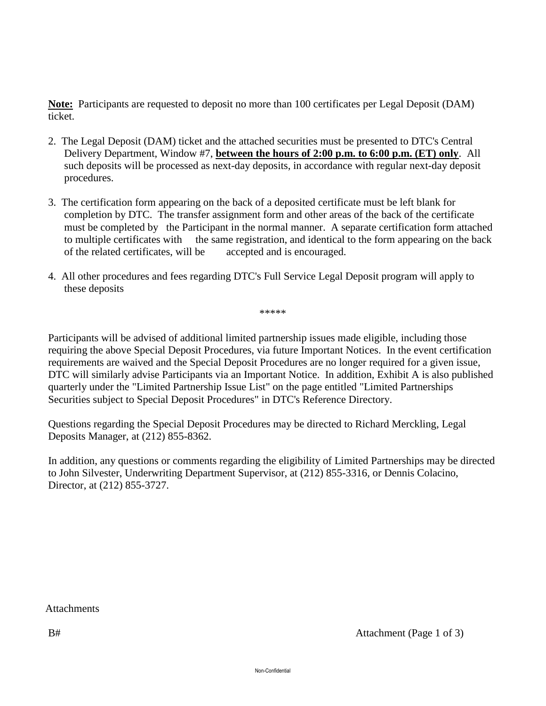**Note:** Participants are requested to deposit no more than 100 certificates per Legal Deposit (DAM) ticket.

- 2. The Legal Deposit (DAM) ticket and the attached securities must be presented to DTC's Central Delivery Department, Window #7, **between the hours of 2:00 p.m. to 6:00 p.m. (ET) only**. All such deposits will be processed as next-day deposits, in accordance with regular next-day deposit procedures.
- 3. The certification form appearing on the back of a deposited certificate must be left blank for completion by DTC. The transfer assignment form and other areas of the back of the certificate must be completed by the Participant in the normal manner. A separate certification form attached to multiple certificates with the same registration, and identical to the form appearing on the back of the related certificates, will be accepted and is encouraged.
- 4. All other procedures and fees regarding DTC's Full Service Legal Deposit program will apply to these deposits

\*\*\*\*\*

Participants will be advised of additional limited partnership issues made eligible, including those requiring the above Special Deposit Procedures, via future Important Notices. In the event certification requirements are waived and the Special Deposit Procedures are no longer required for a given issue, DTC will similarly advise Participants via an Important Notice. In addition, Exhibit A is also published quarterly under the "Limited Partnership Issue List" on the page entitled "Limited Partnerships Securities subject to Special Deposit Procedures" in DTC's Reference Directory.

Questions regarding the Special Deposit Procedures may be directed to Richard Merckling, Legal Deposits Manager, at (212) 855-8362.

In addition, any questions or comments regarding the eligibility of Limited Partnerships may be directed to John Silvester, Underwriting Department Supervisor, at (212) 855-3316, or Dennis Colacino, Director, at (212) 855-3727.

**Attachments**